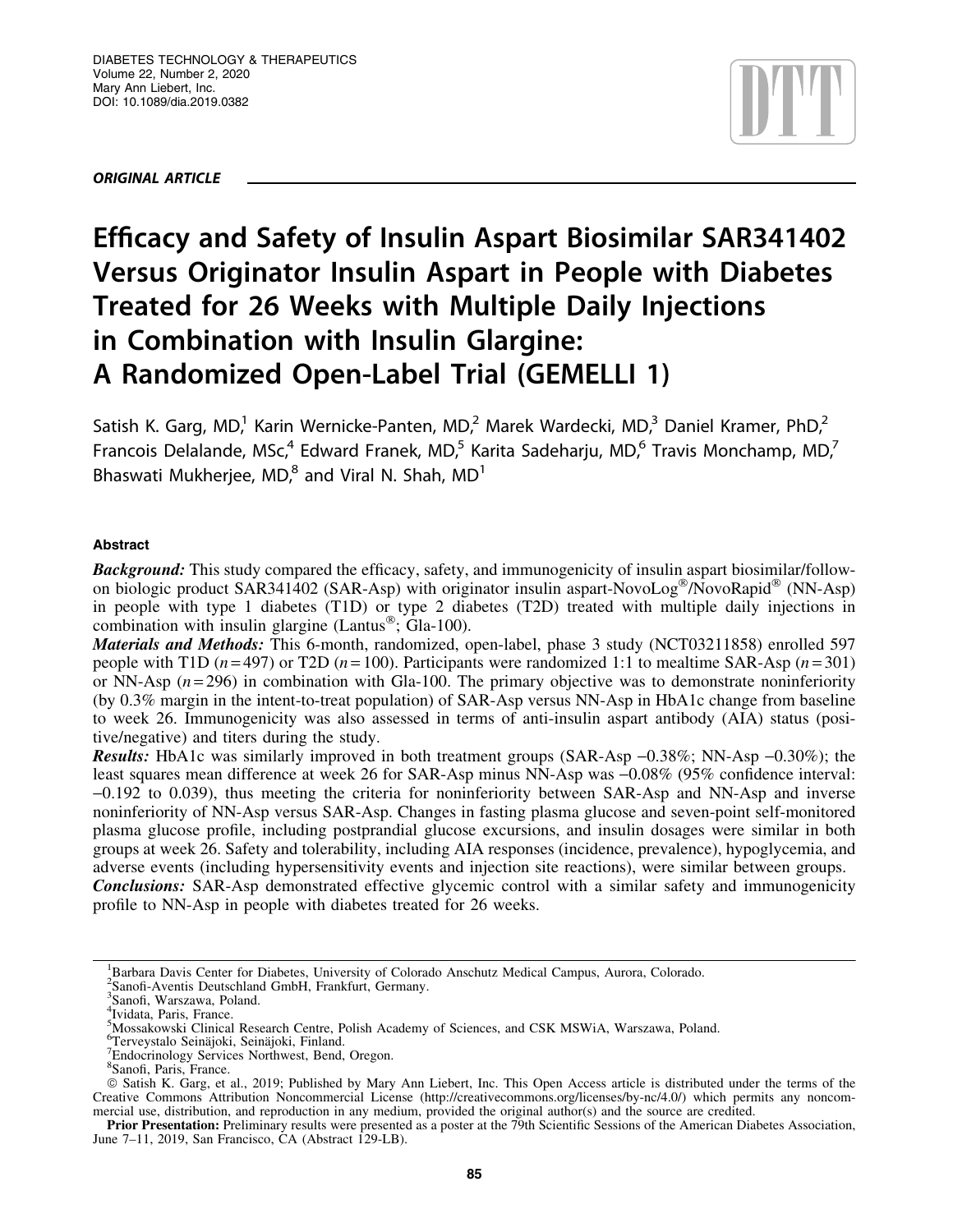ORIGINAL ARTICLE

# Efficacy and Safety of Insulin Aspart Biosimilar SAR341402 Versus Originator Insulin Aspart in People with Diabetes Treated for 26 Weeks with Multiple Daily Injections in Combination with Insulin Glargine: A Randomized Open-Label Trial (GEMELLI 1)

Satish K. Garg, MD,<sup>1</sup> Karin Wernicke-Panten, MD,<sup>2</sup> Marek Wardecki, MD,<sup>3</sup> Daniel Kramer, PhD,<sup>2</sup> Francois Delalande, MSc,<sup>4</sup> Edward Franek, MD,<sup>5</sup> Karita Sadeharju, MD,<sup>6</sup> Travis Monchamp, MD,<sup>7</sup> Bhaswati Mukherjee, MD $^8$  and Viral N. Shah, MD<sup>1</sup>

# **Abstract**

**Background:** This study compared the efficacy, safety, and immunogenicity of insulin aspart biosimilar/followon biologic product SAR341402 (SAR-Asp) with originator insulin aspart-NovoLog®/NovoRapid® (NN-Asp) in people with type 1 diabetes (T1D) or type 2 diabetes (T2D) treated with multiple daily injections in combination with insulin glargine (Lantus<sup>®</sup>; Gla-100).

Materials and Methods: This 6-month, randomized, open-label, phase 3 study (NCT03211858) enrolled 597 people with T1D  $(n=497)$  or T2D  $(n=100)$ . Participants were randomized 1:1 to mealtime SAR-Asp  $(n=301)$ or NN-Asp (*n* = 296) in combination with Gla-100. The primary objective was to demonstrate noninferiority (by 0.3% margin in the intent-to-treat population) of SAR-Asp versus NN-Asp in HbA1c change from baseline to week 26. Immunogenicity was also assessed in terms of anti-insulin aspart antibody (AIA) status (positive/negative) and titers during the study.

**Results:** HbA1c was similarly improved in both treatment groups (SAR-Asp  $-0.38\%$ ; NN-Asp  $-0.30\%$ ); the least squares mean difference at week 26 for SAR-Asp minus NN-Asp was -0.08% (95% confidence interval: -0.192 to 0.039), thus meeting the criteria for noninferiority between SAR-Asp and NN-Asp and inverse noninferiority of NN-Asp versus SAR-Asp. Changes in fasting plasma glucose and seven-point self-monitored plasma glucose profile, including postprandial glucose excursions, and insulin dosages were similar in both groups at week 26. Safety and tolerability, including AIA responses (incidence, prevalence), hypoglycemia, and adverse events (including hypersensitivity events and injection site reactions), were similar between groups. **Conclusions:** SAR-Asp demonstrated effective glycemic control with a similar safety and immunogenicity profile to NN-Asp in people with diabetes treated for 26 weeks.

<sup>&</sup>lt;sup>1</sup>Barbara Davis Center for Diabetes, University of Colorado Anschutz Medical Campus, Aurora, Colorado.

<sup>2</sup> Sanofi-Aventis Deutschland GmbH, Frankfurt, Germany.

<sup>3</sup> Sanofi, Warszawa, Poland.

<sup>4</sup> Ividata, Paris, France.

<sup>5</sup> Mossakowski Clinical Research Centre, Polish Academy of Sciences, and CSK MSWiA, Warszawa, Poland.

<sup>&</sup>lt;sup>6</sup>Terveystalo Seinäjoki, Seinäjoki, Finland.<br><sup>7</sup>Endoeringlogy Services Northwest, Band

<sup>&</sup>lt;sup>7</sup>Endocrinology Services Northwest, Bend, Oregon.

<sup>&</sup>lt;sup>8</sup>Sanofi, Paris, France.

ª Satish K. Garg, et al., 2019; Published by Mary Ann Liebert, Inc. This Open Access article is distributed under the terms of the Creative Commons Attribution Noncommercial License (<http://creativecommons.org/licenses/by-nc/4.0/>) which permits any noncommercial use, distribution, and reproduction in any medium, provided the original author(s) and the source are credited.

Prior Presentation: Preliminary results were presented as a poster at the 79th Scientific Sessions of the American Diabetes Association, June 7–11, 2019, San Francisco, CA (Abstract 129-LB).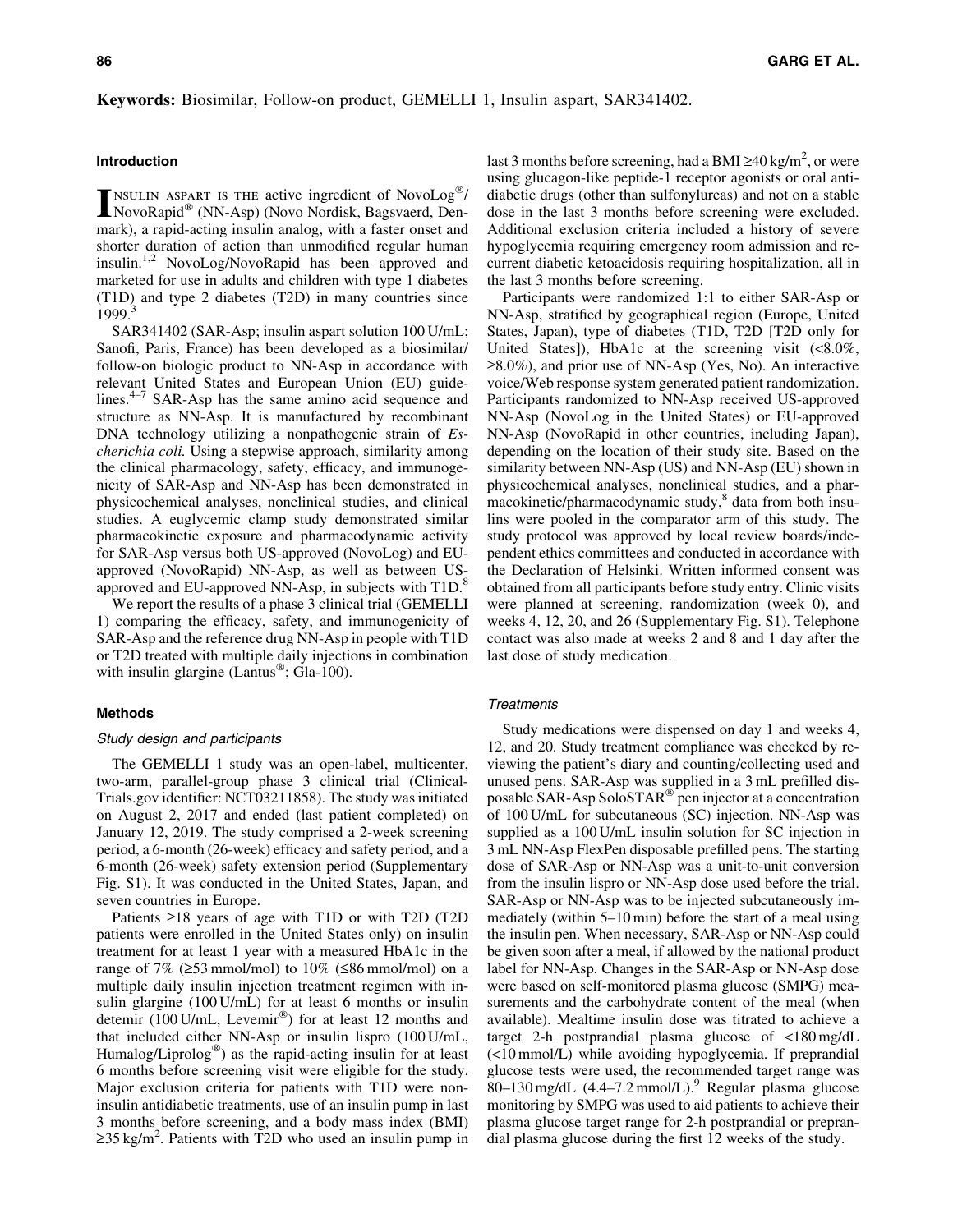# Keywords: Biosimilar, Follow-on product, GEMELLI 1, Insulin aspart, SAR341402.

# Introduction

**INSULIN ASPART IS THE active ingredient of NovoLog<sup>®</sup>/<br>NovoRapid<sup>®</sup> (NN-Asp) (Novo Nordisk, Bagsvaerd, Den-**NSULIN ASPART IS THE active ingredient of NovoLog®/ mark), a rapid-acting insulin analog, with a faster onset and shorter duration of action than unmodified regular human insulin.<sup>1,2</sup> NovoLog/NovoRapid has been approved and marketed for use in adults and children with type 1 diabetes (T1D) and type 2 diabetes (T2D) in many countries since 1999.<sup>3</sup>

SAR341402 (SAR-Asp; insulin aspart solution 100 U/mL; Sanofi, Paris, France) has been developed as a biosimilar/ follow-on biologic product to NN-Asp in accordance with relevant United States and European Union (EU) guidelines. $4-7$  SAR-Asp has the same amino acid sequence and structure as NN-Asp. It is manufactured by recombinant DNA technology utilizing a nonpathogenic strain of *Escherichia coli.* Using a stepwise approach, similarity among the clinical pharmacology, safety, efficacy, and immunogenicity of SAR-Asp and NN-Asp has been demonstrated in physicochemical analyses, nonclinical studies, and clinical studies. A euglycemic clamp study demonstrated similar pharmacokinetic exposure and pharmacodynamic activity for SAR-Asp versus both US-approved (NovoLog) and EUapproved (NovoRapid) NN-Asp, as well as between USapproved and EU-approved NN-Asp, in subjects with T1D.<sup>8</sup>

We report the results of a phase 3 clinical trial (GEMELLI 1) comparing the efficacy, safety, and immunogenicity of SAR-Asp and the reference drug NN-Asp in people with T1D or T2D treated with multiple daily injections in combination with insulin glargine (Lantus<sup>®</sup>; Gla-100).

## Methods

## Study design and participants

The GEMELLI 1 study was an open-label, multicenter, two-arm, parallel-group phase 3 clinical trial (Clinical-Trials.gov identifier: NCT03211858). The study was initiated on August 2, 2017 and ended (last patient completed) on January 12, 2019. The study comprised a 2-week screening period, a 6-month (26-week) efficacy and safety period, and a 6-month (26-week) safety extension period (Supplementary Fig. S1). It was conducted in the United States, Japan, and seven countries in Europe.

Patients  $\geq 18$  years of age with T1D or with T2D (T2D) patients were enrolled in the United States only) on insulin treatment for at least 1 year with a measured HbA1c in the range of 7% ( $\geq$ 53 mmol/mol) to 10% ( $\leq$ 86 mmol/mol) on a multiple daily insulin injection treatment regimen with insulin glargine (100 U/mL) for at least 6 months or insulin detemir (100 U/mL, Levemir®) for at least 12 months and that included either NN-Asp or insulin lispro (100 U/mL, Humalog/Liprolog<sup>®</sup>) as the rapid-acting insulin for at least 6 months before screening visit were eligible for the study. Major exclusion criteria for patients with T1D were noninsulin antidiabetic treatments, use of an insulin pump in last 3 months before screening, and a body mass index (BMI)  $\geq$ 35 kg/m<sup>2</sup>. Patients with T2D who used an insulin pump in

last 3 months before screening, had a BMI  $\geq$ 40 kg/m<sup>2</sup>, or were using glucagon-like peptide-1 receptor agonists or oral antidiabetic drugs (other than sulfonylureas) and not on a stable dose in the last 3 months before screening were excluded. Additional exclusion criteria included a history of severe hypoglycemia requiring emergency room admission and recurrent diabetic ketoacidosis requiring hospitalization, all in the last 3 months before screening.

Participants were randomized 1:1 to either SAR-Asp or NN-Asp, stratified by geographical region (Europe, United States, Japan), type of diabetes (T1D, T2D [T2D only for United States]), HbA1c at the screening visit  $\langle \langle 8.0\% \rangle$ ,  $\geq$ 8.0%), and prior use of NN-Asp (Yes, No). An interactive voice/Web response system generated patient randomization. Participants randomized to NN-Asp received US-approved NN-Asp (NovoLog in the United States) or EU-approved NN-Asp (NovoRapid in other countries, including Japan), depending on the location of their study site. Based on the similarity between NN-Asp (US) and NN-Asp (EU) shown in physicochemical analyses, nonclinical studies, and a pharmacokinetic/pharmacodynamic study,<sup>8</sup> data from both insulins were pooled in the comparator arm of this study. The study protocol was approved by local review boards/independent ethics committees and conducted in accordance with the Declaration of Helsinki. Written informed consent was obtained from all participants before study entry. Clinic visits were planned at screening, randomization (week 0), and weeks 4, 12, 20, and 26 (Supplementary Fig. S1). Telephone contact was also made at weeks 2 and 8 and 1 day after the last dose of study medication.

# **Treatments**

Study medications were dispensed on day 1 and weeks 4, 12, and 20. Study treatment compliance was checked by reviewing the patient's diary and counting/collecting used and unused pens. SAR-Asp was supplied in a 3 mL prefilled disposable SAR-Asp SoloSTAR<sup>®</sup> pen injector at a concentration of 100 U/mL for subcutaneous (SC) injection. NN-Asp was supplied as a 100 U/mL insulin solution for SC injection in 3 mL NN-Asp FlexPen disposable prefilled pens. The starting dose of SAR-Asp or NN-Asp was a unit-to-unit conversion from the insulin lispro or NN-Asp dose used before the trial. SAR-Asp or NN-Asp was to be injected subcutaneously immediately (within 5–10 min) before the start of a meal using the insulin pen. When necessary, SAR-Asp or NN-Asp could be given soon after a meal, if allowed by the national product label for NN-Asp. Changes in the SAR-Asp or NN-Asp dose were based on self-monitored plasma glucose (SMPG) measurements and the carbohydrate content of the meal (when available). Mealtime insulin dose was titrated to achieve a target 2-h postprandial plasma glucose of <180 mg/dL (<10 mmol/L) while avoiding hypoglycemia. If preprandial glucose tests were used, the recommended target range was 80–130 mg/dL  $(4.4–7.2 \text{mmol/L})$ .<sup>9</sup> Regular plasma glucose monitoring by SMPG was used to aid patients to achieve their plasma glucose target range for 2-h postprandial or preprandial plasma glucose during the first 12 weeks of the study.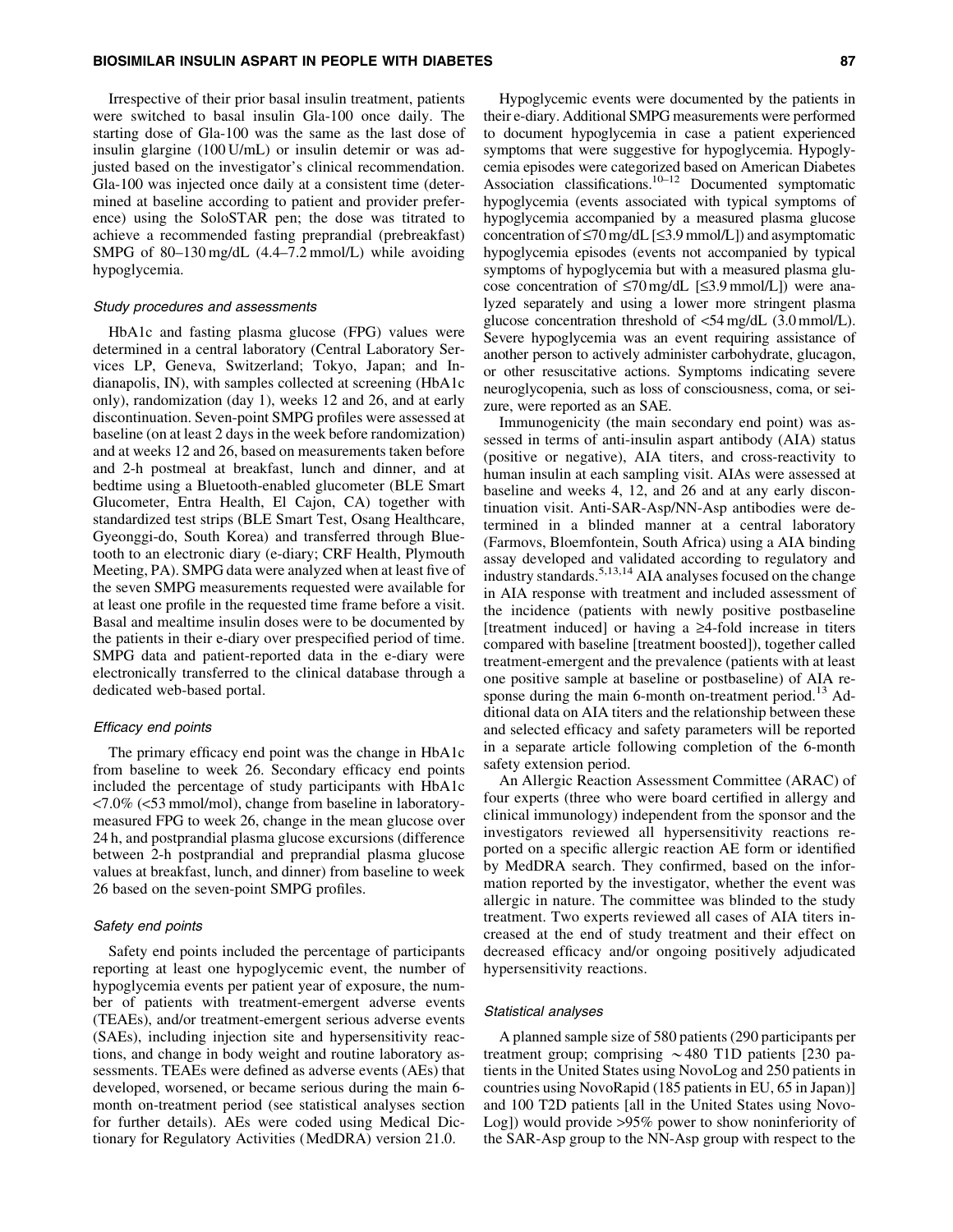Irrespective of their prior basal insulin treatment, patients were switched to basal insulin Gla-100 once daily. The starting dose of Gla-100 was the same as the last dose of insulin glargine (100 U/mL) or insulin detemir or was adjusted based on the investigator's clinical recommendation. Gla-100 was injected once daily at a consistent time (determined at baseline according to patient and provider preference) using the SoloSTAR pen; the dose was titrated to achieve a recommended fasting preprandial (prebreakfast) SMPG of 80–130 mg/dL (4.4–7.2 mmol/L) while avoiding hypoglycemia.

#### Study procedures and assessments

HbA1c and fasting plasma glucose (FPG) values were determined in a central laboratory (Central Laboratory Services LP, Geneva, Switzerland; Tokyo, Japan; and Indianapolis, IN), with samples collected at screening (HbA1c only), randomization (day 1), weeks 12 and 26, and at early discontinuation. Seven-point SMPG profiles were assessed at baseline (on at least 2 days in the week before randomization) and at weeks 12 and 26, based on measurements taken before and 2-h postmeal at breakfast, lunch and dinner, and at bedtime using a Bluetooth-enabled glucometer (BLE Smart Glucometer, Entra Health, El Cajon, CA) together with standardized test strips (BLE Smart Test, Osang Healthcare, Gyeonggi-do, South Korea) and transferred through Bluetooth to an electronic diary (e-diary; CRF Health, Plymouth Meeting, PA). SMPG data were analyzed when at least five of the seven SMPG measurements requested were available for at least one profile in the requested time frame before a visit. Basal and mealtime insulin doses were to be documented by the patients in their e-diary over prespecified period of time. SMPG data and patient-reported data in the e-diary were electronically transferred to the clinical database through a dedicated web-based portal.

#### Efficacy end points

The primary efficacy end point was the change in HbA1c from baseline to week 26. Secondary efficacy end points included the percentage of study participants with HbA1c <7.0% (<53 mmol/mol), change from baseline in laboratorymeasured FPG to week 26, change in the mean glucose over 24 h, and postprandial plasma glucose excursions (difference between 2-h postprandial and preprandial plasma glucose values at breakfast, lunch, and dinner) from baseline to week 26 based on the seven-point SMPG profiles.

## Safety end points

Safety end points included the percentage of participants reporting at least one hypoglycemic event, the number of hypoglycemia events per patient year of exposure, the number of patients with treatment-emergent adverse events (TEAEs), and/or treatment-emergent serious adverse events (SAEs), including injection site and hypersensitivity reactions, and change in body weight and routine laboratory assessments. TEAEs were defined as adverse events (AEs) that developed, worsened, or became serious during the main 6 month on-treatment period (see statistical analyses section for further details). AEs were coded using Medical Dictionary for Regulatory Activities (MedDRA) version 21.0.

Hypoglycemic events were documented by the patients in their e-diary. Additional SMPG measurements were performed to document hypoglycemia in case a patient experienced symptoms that were suggestive for hypoglycemia. Hypoglycemia episodes were categorized based on American Diabetes Association classifications.10–12 Documented symptomatic hypoglycemia (events associated with typical symptoms of hypoglycemia accompanied by a measured plasma glucose concentration of  $\leq$ 70 mg/dL [ $\leq$ 3.9 mmol/L]) and asymptomatic hypoglycemia episodes (events not accompanied by typical symptoms of hypoglycemia but with a measured plasma glucose concentration of  $\leq 70$  mg/dL [ $\leq 3.9$  mmol/L]) were analyzed separately and using a lower more stringent plasma glucose concentration threshold of <54 mg/dL (3.0 mmol/L). Severe hypoglycemia was an event requiring assistance of another person to actively administer carbohydrate, glucagon, or other resuscitative actions. Symptoms indicating severe neuroglycopenia, such as loss of consciousness, coma, or seizure, were reported as an SAE.

Immunogenicity (the main secondary end point) was assessed in terms of anti-insulin aspart antibody (AIA) status (positive or negative), AIA titers, and cross-reactivity to human insulin at each sampling visit. AIAs were assessed at baseline and weeks 4, 12, and 26 and at any early discontinuation visit. Anti-SAR-Asp/NN-Asp antibodies were determined in a blinded manner at a central laboratory (Farmovs, Bloemfontein, South Africa) using a AIA binding assay developed and validated according to regulatory and industry standards.5,13,14 AIA analyses focused on the change in AIA response with treatment and included assessment of the incidence (patients with newly positive postbaseline [treatment induced] or having a  $\geq$ 4-fold increase in titers compared with baseline [treatment boosted]), together called treatment-emergent and the prevalence (patients with at least one positive sample at baseline or postbaseline) of AIA response during the main 6-month on-treatment period.<sup>13</sup> Additional data on AIA titers and the relationship between these and selected efficacy and safety parameters will be reported in a separate article following completion of the 6-month safety extension period.

An Allergic Reaction Assessment Committee (ARAC) of four experts (three who were board certified in allergy and clinical immunology) independent from the sponsor and the investigators reviewed all hypersensitivity reactions reported on a specific allergic reaction AE form or identified by MedDRA search. They confirmed, based on the information reported by the investigator, whether the event was allergic in nature. The committee was blinded to the study treatment. Two experts reviewed all cases of AIA titers increased at the end of study treatment and their effect on decreased efficacy and/or ongoing positively adjudicated hypersensitivity reactions.

# Statistical analyses

A planned sample size of 580 patients (290 participants per treatment group; comprising  $\sim$  480 T1D patients [230 patients in the United States using NovoLog and 250 patients in countries using NovoRapid (185 patients in EU, 65 in Japan)] and 100 T2D patients [all in the United States using Novo-Log]) would provide >95% power to show noninferiority of the SAR-Asp group to the NN-Asp group with respect to the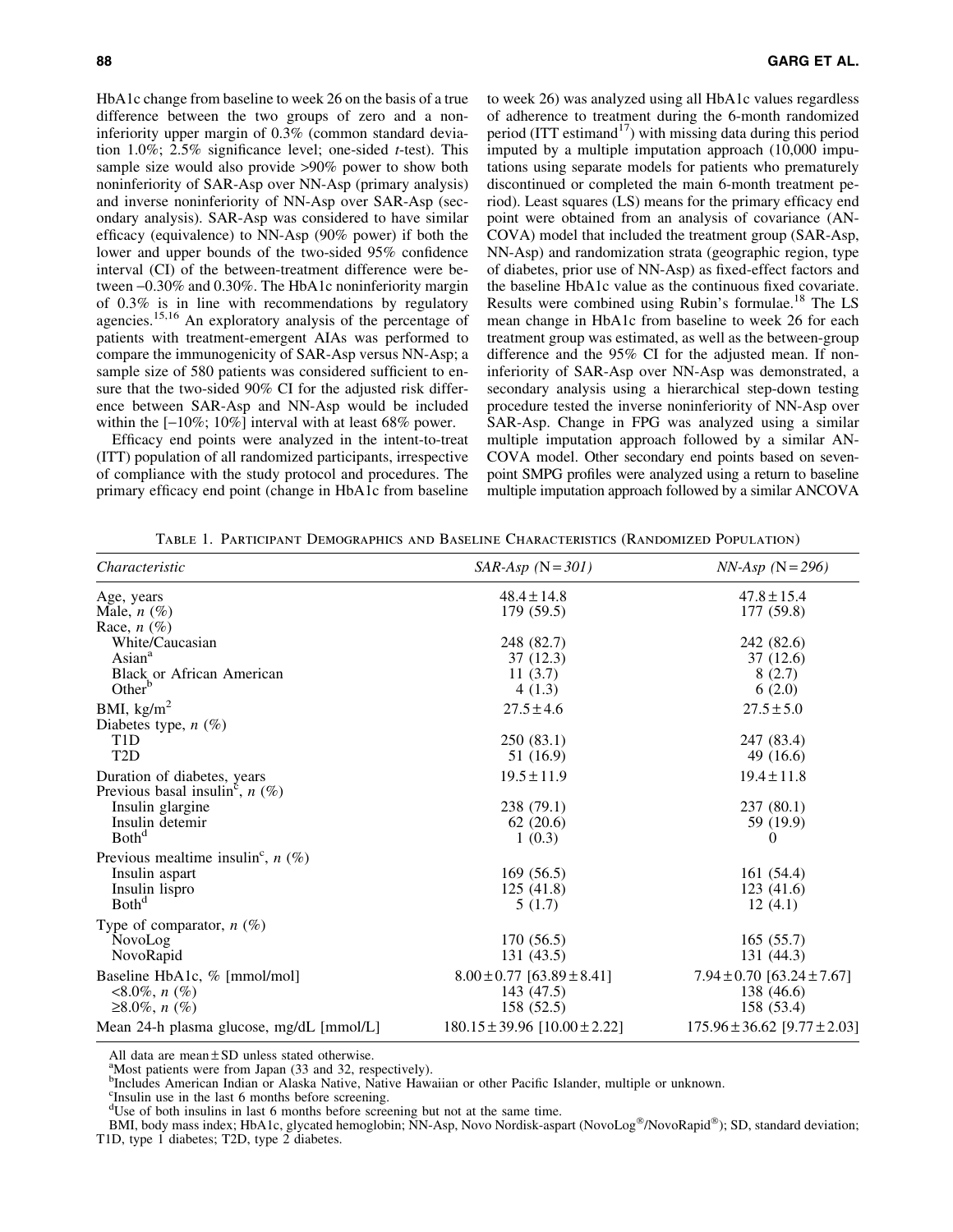HbA1c change from baseline to week 26 on the basis of a true difference between the two groups of zero and a noninferiority upper margin of 0.3% (common standard deviation 1.0%; 2.5% significance level; one-sided *t*-test). This sample size would also provide >90% power to show both noninferiority of SAR-Asp over NN-Asp (primary analysis) and inverse noninferiority of NN-Asp over SAR-Asp (secondary analysis). SAR-Asp was considered to have similar efficacy (equivalence) to NN-Asp (90% power) if both the lower and upper bounds of the two-sided 95% confidence interval (CI) of the between-treatment difference were between -0.30% and 0.30%. The HbA1c noninferiority margin of 0.3% is in line with recommendations by regulatory agencies.<sup>15,16</sup> An exploratory analysis of the percentage of patients with treatment-emergent AIAs was performed to compare the immunogenicity of SAR-Asp versus NN-Asp; a sample size of 580 patients was considered sufficient to ensure that the two-sided 90% CI for the adjusted risk difference between SAR-Asp and NN-Asp would be included within the  $[-10\%; 10\%]$  interval with at least 68% power.

Efficacy end points were analyzed in the intent-to-treat (ITT) population of all randomized participants, irrespective of compliance with the study protocol and procedures. The primary efficacy end point (change in HbA1c from baseline to week 26) was analyzed using all HbA1c values regardless of adherence to treatment during the 6-month randomized period (ITT estimand<sup>17</sup>) with missing data during this period imputed by a multiple imputation approach (10,000 imputations using separate models for patients who prematurely discontinued or completed the main 6-month treatment period). Least squares (LS) means for the primary efficacy end point were obtained from an analysis of covariance (AN-COVA) model that included the treatment group (SAR-Asp, NN-Asp) and randomization strata (geographic region, type of diabetes, prior use of NN-Asp) as fixed-effect factors and the baseline HbA1c value as the continuous fixed covariate. Results were combined using Rubin's formulae.<sup>18</sup> The LS mean change in HbA1c from baseline to week 26 for each treatment group was estimated, as well as the between-group difference and the 95% CI for the adjusted mean. If noninferiority of SAR-Asp over NN-Asp was demonstrated, a secondary analysis using a hierarchical step-down testing procedure tested the inverse noninferiority of NN-Asp over SAR-Asp. Change in FPG was analyzed using a similar multiple imputation approach followed by a similar AN-COVA model. Other secondary end points based on sevenpoint SMPG profiles were analyzed using a return to baseline multiple imputation approach followed by a similar ANCOVA

Table 1. Participant Demographics and Baseline Characteristics (Randomized Population)

| <i>Characteristic</i>                                                                                                                    | $SAR-Asp$ (N = 301)                                            | $NN-Asp (N=296)$                                                |
|------------------------------------------------------------------------------------------------------------------------------------------|----------------------------------------------------------------|-----------------------------------------------------------------|
| Age, years<br>Male, $n(\%)$                                                                                                              | $48.4 \pm 14.8$<br>179 (59.5)                                  | $47.8 \pm 15.4$<br>177 (59.8)                                   |
| Race, $n$ $(\%)$<br>White/Caucasian<br>Asian <sup>a</sup><br><b>Black or African American</b><br>Other <sup>b</sup>                      | 248 (82.7)<br>37 (12.3)<br>11(3.7)<br>4(1.3)                   | 242 (82.6)<br>37 (12.6)<br>8(2.7)<br>6(2.0)                     |
| BMI, $\text{kg/m}^2$<br>Diabetes type, $n$ (%)<br>T <sub>1</sub> D<br>T <sub>2</sub> D                                                   | $27.5 \pm 4.6$<br>250(83.1)<br>51 (16.9)                       | $27.5 \pm 5.0$<br>247 (83.4)<br>49 $(16.6)$                     |
| Duration of diabetes, years<br>Previous basal insulin <sup>c</sup> , $n$ (%)<br>Insulin glargine<br>Insulin detemir<br>Both <sup>d</sup> | $19.5 \pm 11.9$<br>238 (79.1)<br>62(20.6)<br>1(0.3)            | $19.4 \pm 11.8$<br>237(80.1)<br>59 (19.9)<br>$\Omega$           |
| Previous mealtime insulin <sup>c</sup> , $n$ (%)<br>Insulin aspart<br>Insulin lispro<br>Both <sup>d</sup>                                | 169(56.5)<br>125(41.8)<br>5(1.7)                               | 161(54.4)<br>123(41.6)<br>12(4.1)                               |
| Type of comparator, $n$ (%)<br>NovoLog<br>NovoRapid                                                                                      | 170(56.5)<br>131(43.5)                                         | 165(55.7)<br>131 (44.3)                                         |
| Baseline HbA1c, % [mmol/mol]<br>$< 8.0\%, n (\%)$<br>$≥8.0\%, n(\%)$                                                                     | $8.00 \pm 0.77$ [63.89 $\pm$ 8.41]<br>143 (47.5)<br>158 (52.5) | $7.94 \pm 0.70$ [63.24 $\pm 7.67$ ]<br>138 (46.6)<br>158 (53.4) |
| Mean 24-h plasma glucose, mg/dL [mmol/L]                                                                                                 | $180.15 \pm 39.96$ [ $10.00 \pm 2.22$ ]                        | $175.96 \pm 36.62$ [9.77 $\pm 2.03$ ]                           |

All data are mean  $\pm$  SD unless stated otherwise.

Most patients were from Japan (33 and 32, respectively).

b Includes American Indian or Alaska Native, Native Hawaiian or other Pacific Islander, multiple or unknown.

c Insulin use in the last 6 months before screening.

<sup>d</sup>Use of both insulins in last 6 months before screening but not at the same time.

BMI, body mass index; HbA1c, glycated hemoglobin; NN-Asp, Novo Nordisk-aspart (NovoLog®/NovoRapid®); SD, standard deviation; T1D, type 1 diabetes; T2D, type 2 diabetes.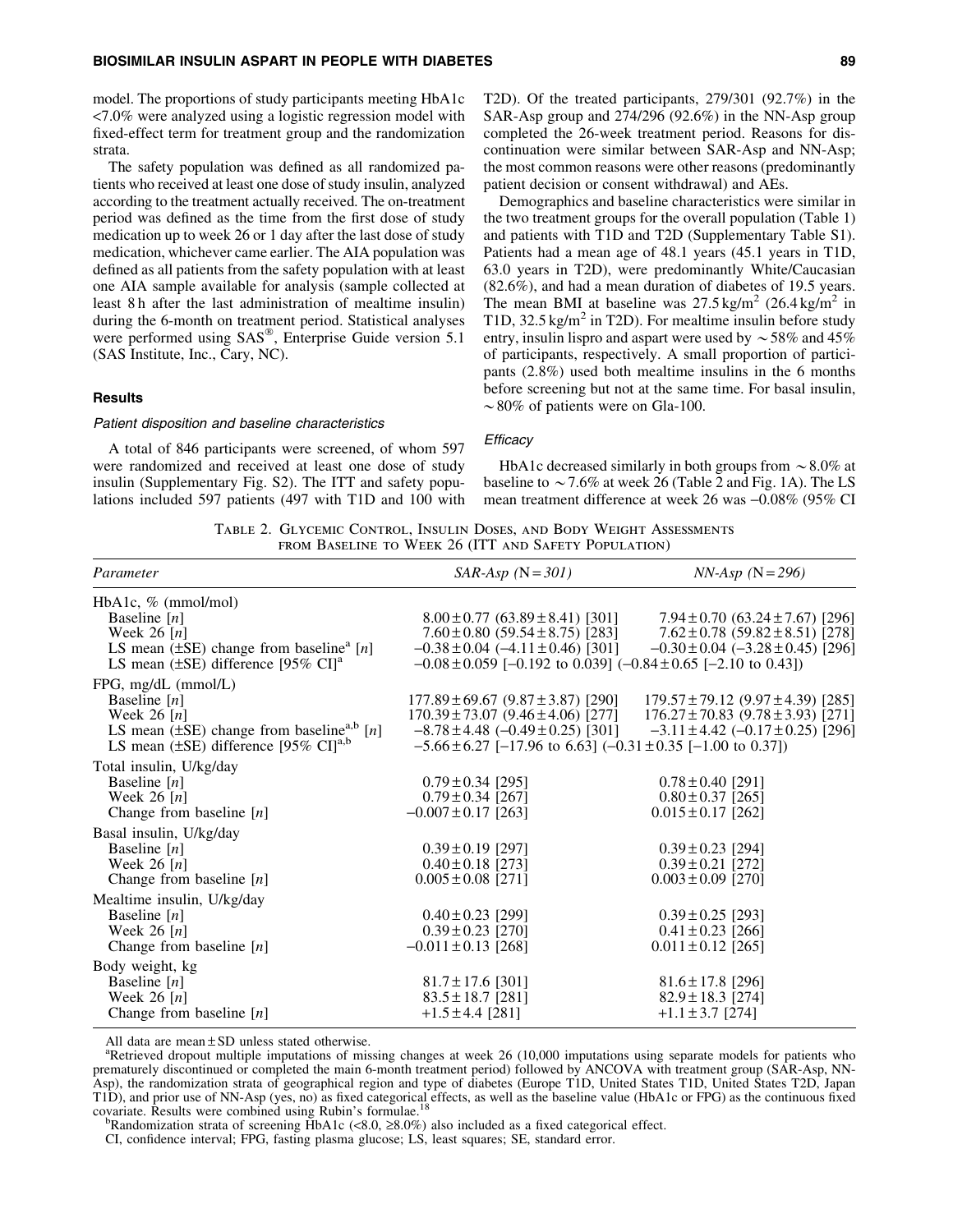model. The proportions of study participants meeting HbA1c <7.0% were analyzed using a logistic regression model with fixed-effect term for treatment group and the randomization strata.

The safety population was defined as all randomized patients who received at least one dose of study insulin, analyzed according to the treatment actually received. The on-treatment period was defined as the time from the first dose of study medication up to week 26 or 1 day after the last dose of study medication, whichever came earlier. The AIA population was defined as all patients from the safety population with at least one AIA sample available for analysis (sample collected at least 8 h after the last administration of mealtime insulin) during the 6-month on treatment period. Statistical analyses were performed using SAS®, Enterprise Guide version 5.1 (SAS Institute, Inc., Cary, NC).

## **Results**

#### Patient disposition and baseline characteristics

A total of 846 participants were screened, of whom 597 were randomized and received at least one dose of study insulin (Supplementary Fig. S2). The ITT and safety populations included 597 patients (497 with T1D and 100 with T2D). Of the treated participants, 279/301 (92.7%) in the SAR-Asp group and 274/296 (92.6%) in the NN-Asp group completed the 26-week treatment period. Reasons for discontinuation were similar between SAR-Asp and NN-Asp; the most common reasons were other reasons (predominantly patient decision or consent withdrawal) and AEs.

Demographics and baseline characteristics were similar in the two treatment groups for the overall population (Table 1) and patients with T1D and T2D (Supplementary Table S1). Patients had a mean age of 48.1 years (45.1 years in T1D, 63.0 years in T2D), were predominantly White/Caucasian (82.6%), and had a mean duration of diabetes of 19.5 years. The mean BMI at baseline was  $27.5 \text{ kg/m}^2$  (26.4 kg/m<sup>2</sup> in T1D,  $32.5 \text{ kg/m}^2$  in T2D). For mealtime insulin before study entry, insulin lispro and aspart were used by  $\sim$  58% and 45% of participants, respectively. A small proportion of participants (2.8%) used both mealtime insulins in the 6 months before screening but not at the same time. For basal insulin,  $\sim$  80% of patients were on Gla-100.

# **Efficacy**

HbA1c decreased similarly in both groups from  $\sim$  8.0% at baseline to  $\sim$  7.6% at week 26 (Table 2 and Fig. 1A). The LS mean treatment difference at week 26 was  $-0.08\%$  (95% CI

Table 2. Glycemic Control, Insulin Doses, and Body Weight Assessments from Baseline to Week 26 (ITT and Safety Population)

| Parameter                                                    | $SAR-Asp (N=301)$                                                      | $NN-Asp$ (N = 296)                             |  |
|--------------------------------------------------------------|------------------------------------------------------------------------|------------------------------------------------|--|
| HbA1c, $%$ (mmol/mol)                                        |                                                                        |                                                |  |
| Baseline $[n]$                                               | $8.00 \pm 0.77$ (63.89 ± 8.41) [301]                                   | $7.94 \pm 0.70$ (63.24 $\pm 7.67$ ) [296]      |  |
| Week 26 $[n]$                                                | $7.60 \pm 0.80$ (59.54 $\pm$ 8.75) [283]                               | $7.62 \pm 0.78$ (59.82 $\pm$ 8.51) [278]       |  |
| LS mean $(\pm SE)$ change from baseline <sup>a</sup> [n]     | $-0.38 \pm 0.04$ ( $-4.11 \pm 0.46$ ) [301]                            | $-0.30 \pm 0.04$ ( $-3.28 \pm 0.45$ ) [296]    |  |
| LS mean ( $\pm$ SE) difference [95% CI] <sup>a</sup>         | $-0.08 \pm 0.059$ [-0.192 to 0.039] (-0.84 $\pm$ 0.65 [-2.10 to 0.43]) |                                                |  |
| FPG, mg/dL (mmol/L)                                          |                                                                        |                                                |  |
| Baseline $[n]$                                               | $177.89 \pm 69.67 (9.87 \pm 3.87)$ [290]                               | $179.57 \pm 79.12$ (9.97 ± 4.39) [285]         |  |
| Week 26 $[n]$                                                | $170.39 \pm 73.07 (9.46 \pm 4.06)$ [277]                               | $176.27 \pm 70.83$ (9.78 $\pm$ 3.93) [271]     |  |
| LS mean ( $\pm$ SE) change from baseline, <sup>a,b</sup> [n] | $-8.78 \pm 4.48$ ( $-0.49 \pm 0.25$ ) [301]                            | $-3.11 \pm 4.42$ (-0.17 $\pm$ 0.25) [296]      |  |
| LS mean $(\pm SE)$ difference [95% CI] <sup>a,b</sup>        | $-5.66 \pm 6.27$ [-17.96 to 6.63] (-0.31 $\pm$ 0.35 [-1.00 to 0.37])   |                                                |  |
| Total insulin, U/kg/day                                      |                                                                        |                                                |  |
| Baseline $[n]$                                               | $0.79 \pm 0.34$ [295]                                                  | $0.78 \pm 0.40$ [291]                          |  |
| Week 26 $[n]$                                                | $0.79 \pm 0.34$ [267]                                                  | $0.80 \pm 0.37$ [265]                          |  |
| Change from baseline $[n]$                                   | $-0.007 \pm 0.17$ [263]                                                | $0.015 \pm 0.17$ [262]                         |  |
| Basal insulin, U/kg/day                                      |                                                                        |                                                |  |
| Baseline $[n]$                                               | $0.39 \pm 0.19$ [297]                                                  | $0.39 \pm 0.23$ [294]                          |  |
| Week 26 $[n]$                                                | $0.40 \pm 0.18$ [273]                                                  | $0.39 \pm 0.21$ [272]                          |  |
| Change from baseline $[n]$                                   | $0.005 \pm 0.08$ [271]                                                 | $0.003 \pm 0.09$ [270]                         |  |
| Mealtime insulin, U/kg/day                                   |                                                                        |                                                |  |
| Baseline $[n]$                                               | $0.40 \pm 0.23$ [299]                                                  | $0.39 \pm 0.25$ [293]                          |  |
| Week 26 $[n]$                                                | $0.39 \pm 0.23$ [270]                                                  | $0.41 \pm 0.23$ [266]                          |  |
| Change from baseline $[n]$                                   | $-0.011 \pm 0.13$ [268]                                                | $0.011 \pm 0.12$ [265]                         |  |
|                                                              |                                                                        |                                                |  |
| Body weight, kg                                              |                                                                        |                                                |  |
| Baseline $[n]$<br>Week $26$ [n]                              | $81.7 \pm 17.6$ [301]                                                  | $81.6 \pm 17.8$ [296]<br>$82.9 \pm 18.3$ [274] |  |
|                                                              | $83.5 \pm 18.7$ [281]                                                  |                                                |  |
| Change from baseline $[n]$                                   | $+1.5 \pm 4.4$ [281]                                                   | $+1.1 \pm 3.7$ [274]                           |  |

All data are mean  $\pm$  SD unless stated otherwise.

Retrieved dropout multiple imputations of missing changes at week 26 (10,000 imputations using separate models for patients who prematurely discontinued or completed the main 6-month treatment period) followed by ANCOVA with treatment group (SAR-Asp, NN-Asp), the randomization strata of geographical region and type of diabetes (Europe T1D, United States T1D, United States T2D, Japan T1D), and prior use of NN-Asp (yes, no) as fixed categorical effects, as well as the baseline value (HbA1c or FPG) as the continuous fixed covariate. Results were combined using Rubin's formulae.<sup>18</sup><br><sup>b</sup>Randomization strata of screening HbA1c (<8.0,  $\geq$ 8.0%) also included as a fixed categorical effect.

CI, confidence interval; FPG, fasting plasma glucose; LS, least squares; SE, standard error.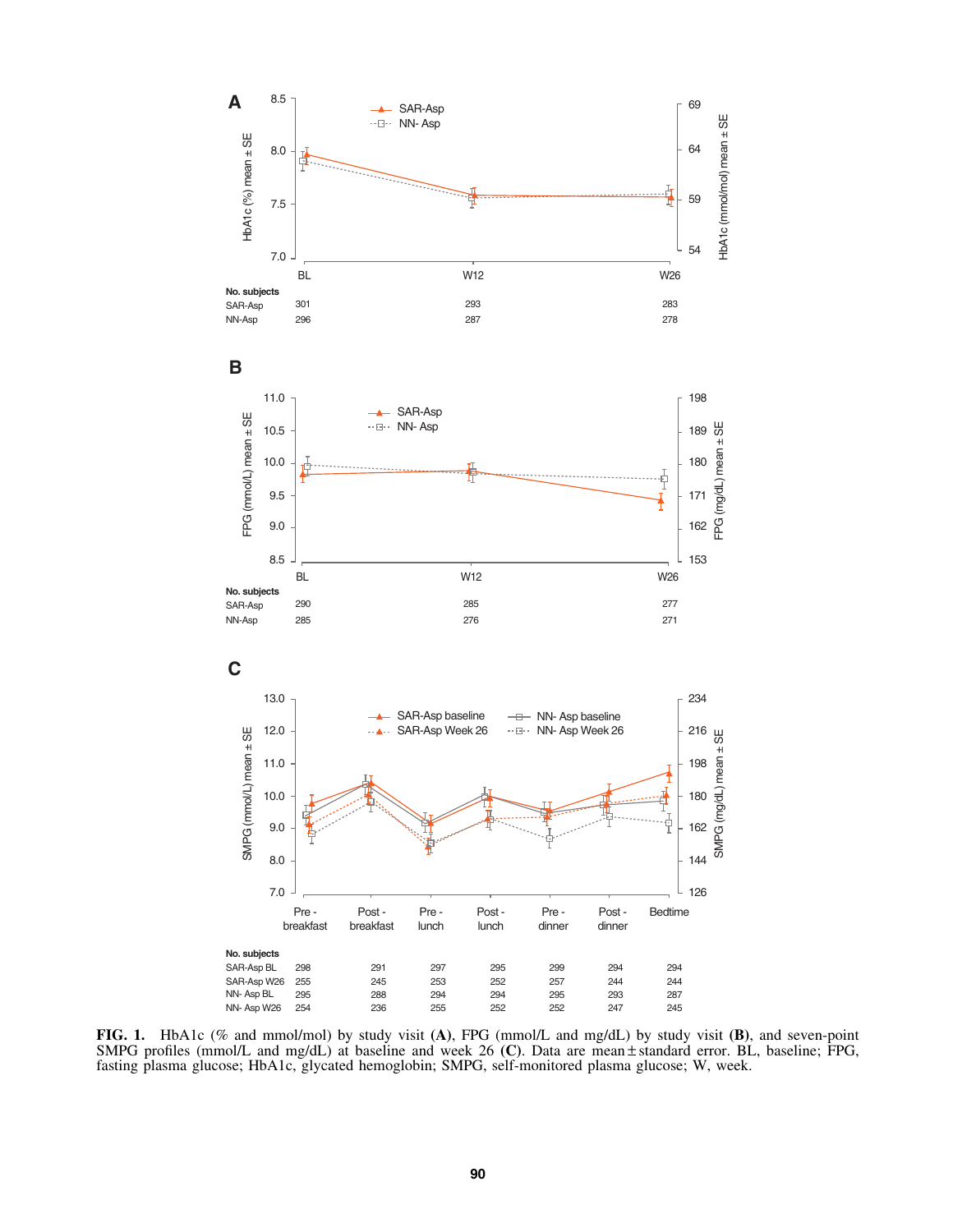

FIG. 1. HbA1c (% and mmol/mol) by study visit (A), FPG (mmol/L and mg/dL) by study visit (B), and seven-point SMPG profiles (mmol/L and mg/dL) at baseline and week 26 (C). Data are mean  $\pm$  standard error. BL, baseline; FPG, fasting plasma glucose; HbA1c, glycated hemoglobin; SMPG, self-monitored plasma glucose; W, week.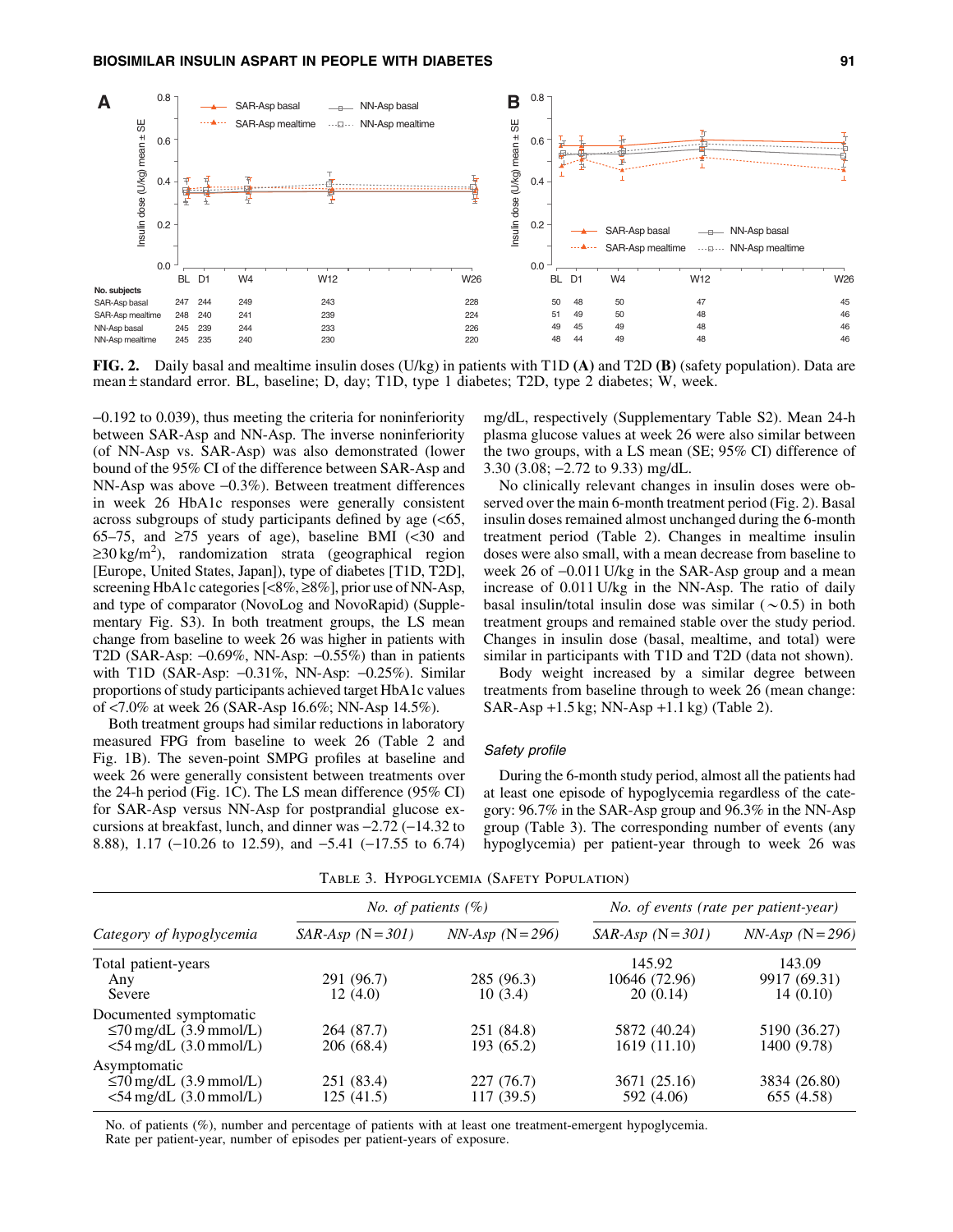

FIG. 2. Daily basal and mealtime insulin doses (U/kg) in patients with T1D (A) and T2D (B) (safety population). Data are mean  $\pm$  standard error. BL, baseline; D, day; T1D, type 1 diabetes; T2D, type 2 diabetes; W, week.

-0.192 to 0.039), thus meeting the criteria for noninferiority between SAR-Asp and NN-Asp. The inverse noninferiority (of NN-Asp vs. SAR-Asp) was also demonstrated (lower bound of the 95% CI of the difference between SAR-Asp and NN-Asp was above -0.3%). Between treatment differences in week 26 HbA1c responses were generally consistent across subgroups of study participants defined by age (<65, 65–75, and  $\geq$ 75 years of age), baseline BMI (<30 and  $\geq$ 30 kg/m<sup>2</sup>), randomization strata (geographical region [Europe, United States, Japan]), type of diabetes [T1D, T2D], screening HbA1c categories [<8%, ≥8%], prior use of NN-Asp, and type of comparator (NovoLog and NovoRapid) (Supplementary Fig. S3). In both treatment groups, the LS mean change from baseline to week 26 was higher in patients with T2D (SAR-Asp:  $-0.69\%$ , NN-Asp:  $-0.55\%$ ) than in patients with T1D (SAR-Asp: -0.31%, NN-Asp: -0.25%). Similar proportions of study participants achieved target HbA1c values of <7.0% at week 26 (SAR-Asp 16.6%; NN-Asp 14.5%).

Both treatment groups had similar reductions in laboratory measured FPG from baseline to week 26 (Table 2 and Fig. 1B). The seven-point SMPG profiles at baseline and week 26 were generally consistent between treatments over the 24-h period (Fig. 1C). The LS mean difference (95% CI) for SAR-Asp versus NN-Asp for postprandial glucose excursions at breakfast, lunch, and dinner was  $-2.72$  ( $-14.32$  to 8.88), 1.17 (-10.26 to 12.59), and -5.41 (-17.55 to 6.74) mg/dL, respectively (Supplementary Table S2). Mean 24-h plasma glucose values at week 26 were also similar between the two groups, with a LS mean (SE; 95% CI) difference of 3.30 (3.08; -2.72 to 9.33) mg/dL.

No clinically relevant changes in insulin doses were observed over the main 6-month treatment period (Fig. 2). Basal insulin doses remained almost unchanged during the 6-month treatment period (Table 2). Changes in mealtime insulin doses were also small, with a mean decrease from baseline to week 26 of  $-0.011$  U/kg in the SAR-Asp group and a mean increase of 0.011 U/kg in the NN-Asp. The ratio of daily basal insulin/total insulin dose was similar  $(\sim 0.5)$  in both treatment groups and remained stable over the study period. Changes in insulin dose (basal, mealtime, and total) were similar in participants with T1D and T2D (data not shown).

Body weight increased by a similar degree between treatments from baseline through to week 26 (mean change: SAR-Asp +1.5 kg; NN-Asp +1.1 kg) (Table 2).

# Safety profile

During the 6-month study period, almost all the patients had at least one episode of hypoglycemia regardless of the category: 96.7% in the SAR-Asp group and 96.3% in the NN-Asp group (Table 3). The corresponding number of events (any hypoglycemia) per patient-year through to week 26 was

| Category of hypoglycemia            | <i>No. of patients</i> $(\%)$ |                  | No. of events (rate per patient-year) |                    |  |
|-------------------------------------|-------------------------------|------------------|---------------------------------------|--------------------|--|
|                                     | $SAR-Asp$ (N = 301)           | $NN-Asp (N=296)$ | $SAR-Asp$ (N = 301)                   | $NN-Asp$ (N = 296) |  |
| Total patient-years                 |                               |                  | 145.92                                | 143.09             |  |
| Any                                 | 291 (96.7)                    | 285 (96.3)       | 10646 (72.96)                         | 9917 (69.31)       |  |
| Severe                              | 12(4.0)                       | 10(3.4)          | 20(0.14)                              | 14(0.10)           |  |
| Documented symptomatic              |                               |                  |                                       |                    |  |
| $\leq$ 70 mg/dL (3.9 mmol/L)        | 264 (87.7)                    | 251 (84.8)       | 5872 (40.24)                          | 5190 (36.27)       |  |
| $<$ 54 mg/dL $(3.0 \text{ mmol/L})$ | 206 (68.4)                    | 193 (65.2)       | 1619 (11.10)                          | 1400 (9.78)        |  |
| Asymptomatic                        |                               |                  |                                       |                    |  |
| $\leq$ 70 mg/dL (3.9 mmol/L)        | 251 (83.4)                    | 227(76.7)        | 3671 (25.16)                          | 3834 (26.80)       |  |
| $<$ 54 mg/dL $(3.0 \text{ mmol/L})$ | 125 (41.5)                    | 117(39.5)        | 592 (4.06)                            | 655 (4.58)         |  |

Table 3. Hypoglycemia (Safety Population)

No. of patients (%), number and percentage of patients with at least one treatment-emergent hypoglycemia. Rate per patient-year, number of episodes per patient-years of exposure.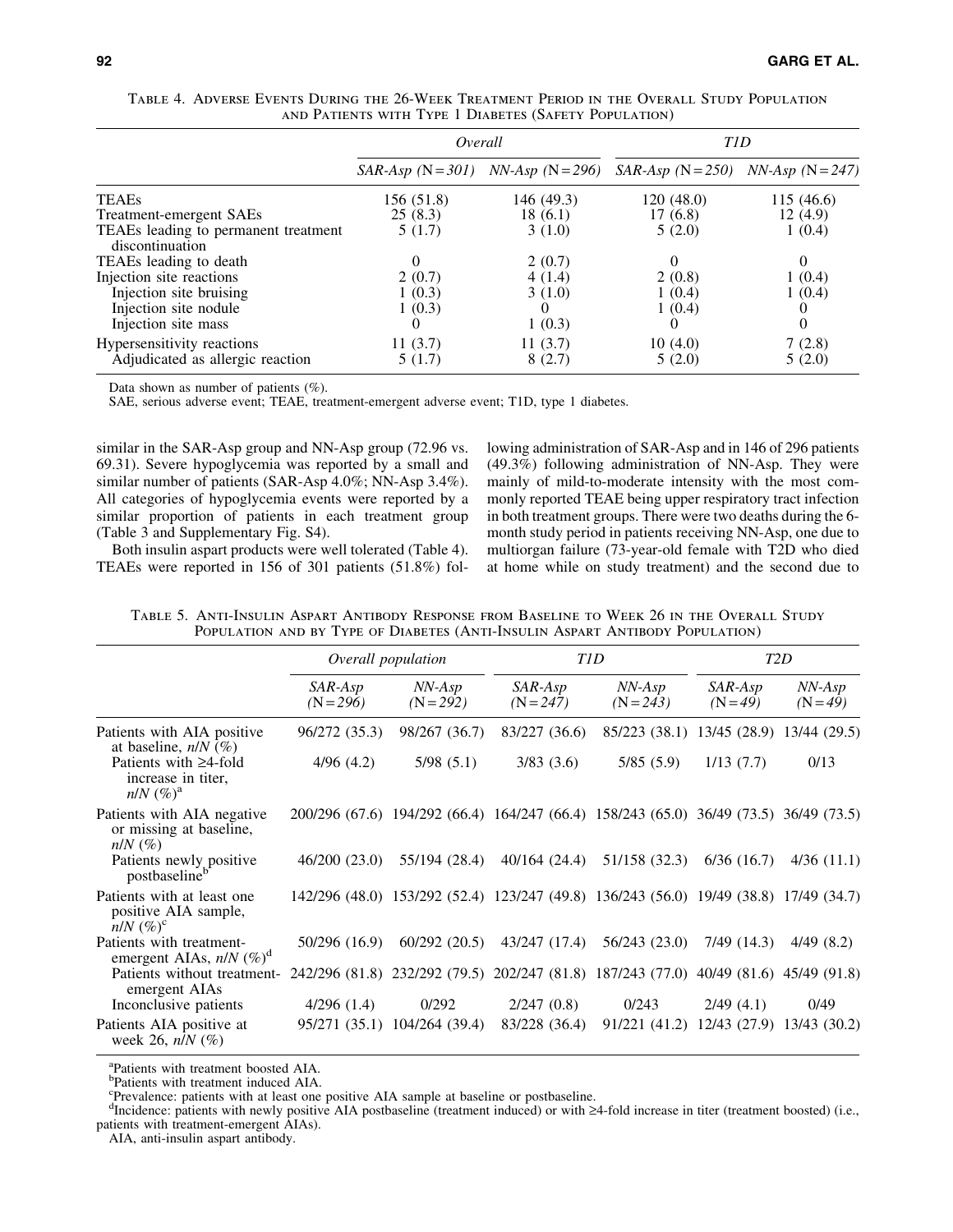|                                                         | Overall    |                                    | T <sub>1</sub> D                   |            |  |
|---------------------------------------------------------|------------|------------------------------------|------------------------------------|------------|--|
|                                                         |            | $SAR-Asp (N=301)$ NN-Asp (N = 296) | $SAR-Asp (N=250)$ NN-Asp (N = 247) |            |  |
| <b>TEAEs</b>                                            | 156 (51.8) | 146 (49.3)                         | 120(48.0)                          | 115 (46.6) |  |
| Treatment-emergent SAEs                                 | 25(8.3)    | 18(6.1)                            | 17(6.8)                            | 12(4.9)    |  |
| TEAEs leading to permanent treatment<br>discontinuation | 5(1.7)     | 3(1.0)                             | 5(2.0)                             | 1(0.4)     |  |
| TEAEs leading to death                                  | $\Omega$   | 2(0.7)                             | 0                                  | 0          |  |
| Injection site reactions                                | 2(0.7)     | 4(1.4)                             | 2(0.8)                             | 1(0.4)     |  |
| Injection site bruising                                 | 1(0.3)     | 3(1.0)                             | 1(0.4)                             | 1(0.4)     |  |
| Injection site nodule                                   | 1(0.3)     |                                    | 1(0.4)                             |            |  |
| Injection site mass                                     |            | 1(0.3)                             |                                    | 0          |  |
| Hypersensitivity reactions                              | 11(3.7)    | 11(3.7)                            | 10(4.0)                            | 7(2.8)     |  |
| Adjudicated as allergic reaction                        | 5(1.7)     | 8(2.7)                             | 5(2.0)                             | 5(2.0)     |  |

Table 4. Adverse Events During the 26-Week Treatment Period in the Overall Study Population and Patients with Type 1 Diabetes (Safety Population)

Data shown as number of patients (%).

SAE, serious adverse event; TEAE, treatment-emergent adverse event; T1D, type 1 diabetes.

similar in the SAR-Asp group and NN-Asp group (72.96 vs. 69.31). Severe hypoglycemia was reported by a small and similar number of patients (SAR-Asp 4.0%; NN-Asp 3.4%). All categories of hypoglycemia events were reported by a similar proportion of patients in each treatment group (Table 3 and Supplementary Fig. S4).

Both insulin aspart products were well tolerated (Table 4). TEAEs were reported in 156 of 301 patients (51.8%) following administration of SAR-Asp and in 146 of 296 patients (49.3%) following administration of NN-Asp. They were mainly of mild-to-moderate intensity with the most commonly reported TEAE being upper respiratory tract infection in both treatment groups. There were two deaths during the 6 month study period in patients receiving NN-Asp, one due to multiorgan failure (73-year-old female with T2D who died at home while on study treatment) and the second due to

Table 5. Anti-Insulin Aspart Antibody Response from Baseline to Week 26 in the Overall Study Population and by Type of Diabetes (Anti-Insulin Aspart Antibody Population)

|                                                                       | Overall population   |                              | <b>TID</b>             |                                                                                       | T <sub>2</sub> D    |                        |
|-----------------------------------------------------------------------|----------------------|------------------------------|------------------------|---------------------------------------------------------------------------------------|---------------------|------------------------|
|                                                                       | SAR-Asp<br>$(N=296)$ | NN-Asp<br>$(N = 292)$        | SAR-Asp<br>$(N = 247)$ | NN-Asp<br>$(N = 243)$                                                                 | SAR-Asp<br>$(N=49)$ | $NN-Asp$<br>$(N = 49)$ |
| Patients with AIA positive<br>at baseline, $n/N$ (%)                  | 96/272 (35.3)        | 98/267 (36.7)                | 83/227 (36.6)          | 85/223 (38.1) 13/45 (28.9) 13/44 (29.5)                                               |                     |                        |
| Patients with $\geq$ 4-fold<br>increase in titer,<br>$n/N$ $(\%)^a$   | 4/96(4.2)            | 5/98(5.1)                    | 3/83(3.6)              | 5/85(5.9)                                                                             | 1/13(7.7)           | 0/13                   |
| Patients with AIA negative<br>or missing at baseline,<br>$n/N$ $(\%)$ |                      |                              |                        | 200/296 (67.6) 194/292 (66.4) 164/247 (66.4) 158/243 (65.0) 36/49 (73.5) 36/49 (73.5) |                     |                        |
| Patients newly positive<br>postbaseline <sup>b</sup>                  | 46/200(23.0)         | 55/194 (28.4)                | 40/164 (24.4)          | 51/158 (32.3)                                                                         | 6/36(16.7)          | 4/36(11.1)             |
| Patients with at least one<br>positive AIA sample,<br>$n/N$ $(\%)^c$  |                      |                              |                        | 142/296 (48.0) 153/292 (52.4) 123/247 (49.8) 136/243 (56.0) 19/49 (38.8) 17/49 (34.7) |                     |                        |
| Patients with treatment-<br>emergent AIAs, $n/N$ (%) <sup>d</sup>     | 50/296 (16.9)        | 60/292(20.5)                 | 43/247 (17.4)          | 56/243 (23.0)                                                                         | $7/49$ (14.3)       | 4/49(8.2)              |
| Patients without treatment-<br>emergent AIAs                          |                      |                              |                        | 242/296 (81.8) 232/292 (79.5) 202/247 (81.8) 187/243 (77.0) 40/49 (81.6) 45/49 (91.8) |                     |                        |
| Inconclusive patients                                                 | 4/296(1.4)           | 0/292                        | 2/247(0.8)             | 0/243                                                                                 | 2/49(4.1)           | 0/49                   |
| Patients AIA positive at<br>week 26, $n/N$ (%)                        |                      | 95/271 (35.1) 104/264 (39.4) | 83/228 (36.4)          | 91/221 (41.2) 12/43 (27.9) 13/43 (30.2)                                               |                     |                        |

<sup>a</sup>Patients with treatment boosted AIA.

b Patients with treatment induced AIA.

c Prevalence: patients with at least one positive AIA sample at baseline or postbaseline.

dIncidence: patients with newly positive AIA postbaseline (treatment induced) or with ≥4-fold increase in titer (treatment boosted) (i.e., patients with treatment-emergent AIAs).

AIA, anti-insulin aspart antibody.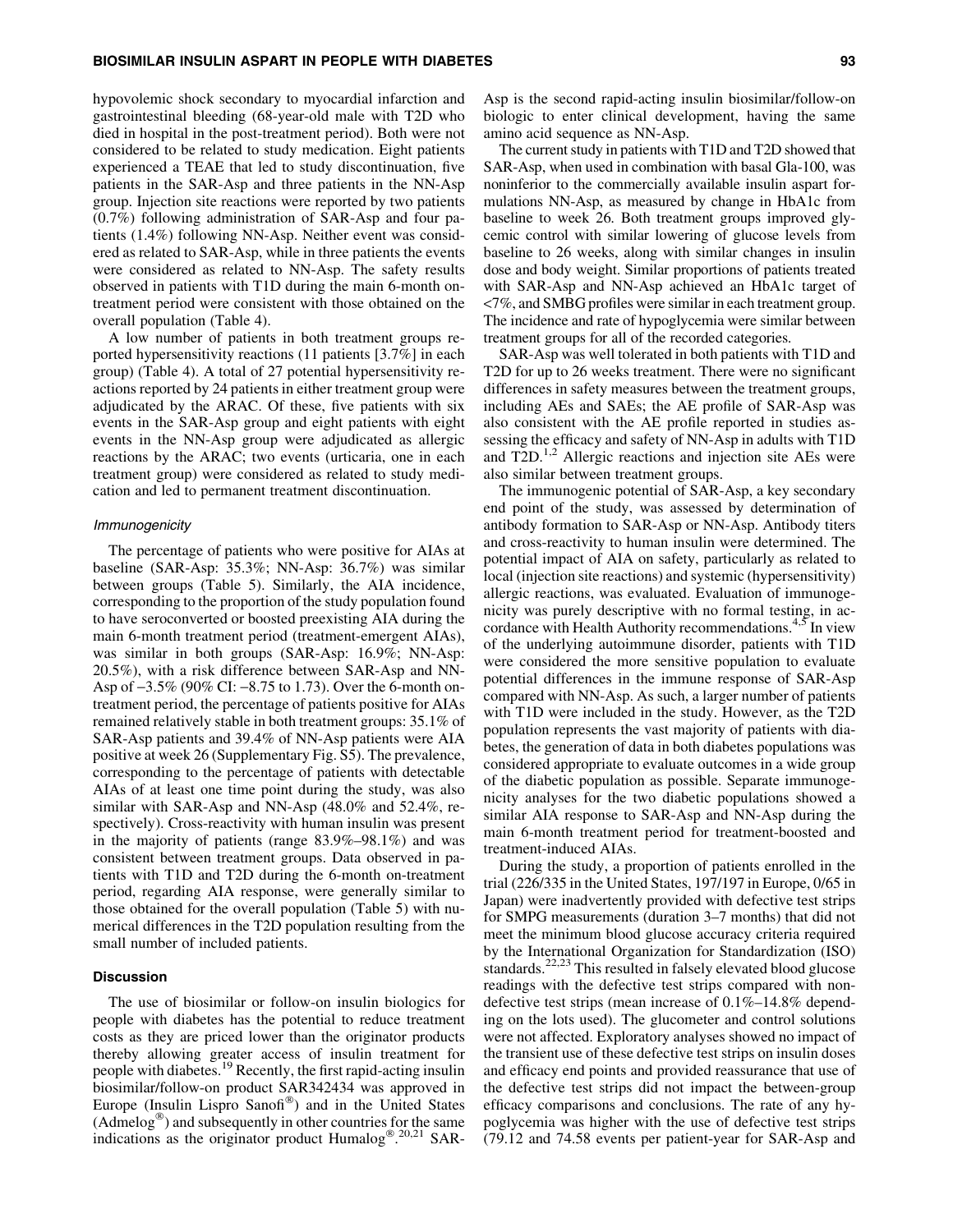## BIOSIMILAR INSULIN ASPART IN PEOPLE WITH DIABETES 93

hypovolemic shock secondary to myocardial infarction and gastrointestinal bleeding (68-year-old male with T2D who died in hospital in the post-treatment period). Both were not considered to be related to study medication. Eight patients experienced a TEAE that led to study discontinuation, five patients in the SAR-Asp and three patients in the NN-Asp group. Injection site reactions were reported by two patients (0.7%) following administration of SAR-Asp and four patients (1.4%) following NN-Asp. Neither event was considered as related to SAR-Asp, while in three patients the events were considered as related to NN-Asp. The safety results observed in patients with T1D during the main 6-month ontreatment period were consistent with those obtained on the overall population (Table 4).

A low number of patients in both treatment groups reported hypersensitivity reactions (11 patients [3.7%] in each group) (Table 4). A total of 27 potential hypersensitivity reactions reported by 24 patients in either treatment group were adjudicated by the ARAC. Of these, five patients with six events in the SAR-Asp group and eight patients with eight events in the NN-Asp group were adjudicated as allergic reactions by the ARAC; two events (urticaria, one in each treatment group) were considered as related to study medication and led to permanent treatment discontinuation.

#### Immunogenicity

The percentage of patients who were positive for AIAs at baseline (SAR-Asp: 35.3%; NN-Asp: 36.7%) was similar between groups (Table 5). Similarly, the AIA incidence, corresponding to the proportion of the study population found to have seroconverted or boosted preexisting AIA during the main 6-month treatment period (treatment-emergent AIAs), was similar in both groups (SAR-Asp: 16.9%; NN-Asp: 20.5%), with a risk difference between SAR-Asp and NN-Asp of -3.5% (90% CI: -8.75 to 1.73). Over the 6-month ontreatment period, the percentage of patients positive for AIAs remained relatively stable in both treatment groups: 35.1% of SAR-Asp patients and 39.4% of NN-Asp patients were AIA positive at week 26 (Supplementary Fig. S5). The prevalence, corresponding to the percentage of patients with detectable AIAs of at least one time point during the study, was also similar with SAR-Asp and NN-Asp (48.0% and 52.4%, respectively). Cross-reactivity with human insulin was present in the majority of patients (range 83.9%–98.1%) and was consistent between treatment groups. Data observed in patients with T1D and T2D during the 6-month on-treatment period, regarding AIA response, were generally similar to those obtained for the overall population (Table 5) with numerical differences in the T2D population resulting from the small number of included patients.

# Discussion

The use of biosimilar or follow-on insulin biologics for people with diabetes has the potential to reduce treatment costs as they are priced lower than the originator products thereby allowing greater access of insulin treatment for people with diabetes.19 Recently, the first rapid-acting insulin biosimilar/follow-on product SAR342434 was approved in Europe (Insulin Lispro Sanofi®) and in the United States  $(Admelo g^{\circledast})$  and subsequently in other countries for the same indications as the originator product Humalog<sup>® 20,21</sup> SAR-

Asp is the second rapid-acting insulin biosimilar/follow-on biologic to enter clinical development, having the same amino acid sequence as NN-Asp.

The current study in patients with T1D and T2D showed that SAR-Asp, when used in combination with basal Gla-100, was noninferior to the commercially available insulin aspart formulations NN-Asp, as measured by change in HbA1c from baseline to week 26. Both treatment groups improved glycemic control with similar lowering of glucose levels from baseline to 26 weeks, along with similar changes in insulin dose and body weight. Similar proportions of patients treated with SAR-Asp and NN-Asp achieved an HbA1c target of <7%, and SMBG profiles were similar in each treatment group. The incidence and rate of hypoglycemia were similar between treatment groups for all of the recorded categories.

SAR-Asp was well tolerated in both patients with T1D and T2D for up to 26 weeks treatment. There were no significant differences in safety measures between the treatment groups, including AEs and SAEs; the AE profile of SAR-Asp was also consistent with the AE profile reported in studies assessing the efficacy and safety of NN-Asp in adults with T1D and  $T2D$ .<sup>1,2</sup> Allergic reactions and injection site AEs were also similar between treatment groups.

The immunogenic potential of SAR-Asp, a key secondary end point of the study, was assessed by determination of antibody formation to SAR-Asp or NN-Asp. Antibody titers and cross-reactivity to human insulin were determined. The potential impact of AIA on safety, particularly as related to local (injection site reactions) and systemic (hypersensitivity) allergic reactions, was evaluated. Evaluation of immunogenicity was purely descriptive with no formal testing, in accordance with Health Authority recommendations.<sup>4,5</sup> In view of the underlying autoimmune disorder, patients with T1D were considered the more sensitive population to evaluate potential differences in the immune response of SAR-Asp compared with NN-Asp. As such, a larger number of patients with T1D were included in the study. However, as the T2D population represents the vast majority of patients with diabetes, the generation of data in both diabetes populations was considered appropriate to evaluate outcomes in a wide group of the diabetic population as possible. Separate immunogenicity analyses for the two diabetic populations showed a similar AIA response to SAR-Asp and NN-Asp during the main 6-month treatment period for treatment-boosted and treatment-induced AIAs.

During the study, a proportion of patients enrolled in the trial (226/335 in the United States, 197/197 in Europe, 0/65 in Japan) were inadvertently provided with defective test strips for SMPG measurements (duration 3–7 months) that did not meet the minimum blood glucose accuracy criteria required by the International Organization for Standardization (ISO) standards.<sup>22,23</sup> This resulted in falsely elevated blood glucose readings with the defective test strips compared with nondefective test strips (mean increase of 0.1%–14.8% depending on the lots used). The glucometer and control solutions were not affected. Exploratory analyses showed no impact of the transient use of these defective test strips on insulin doses and efficacy end points and provided reassurance that use of the defective test strips did not impact the between-group efficacy comparisons and conclusions. The rate of any hypoglycemia was higher with the use of defective test strips (79.12 and 74.58 events per patient-year for SAR-Asp and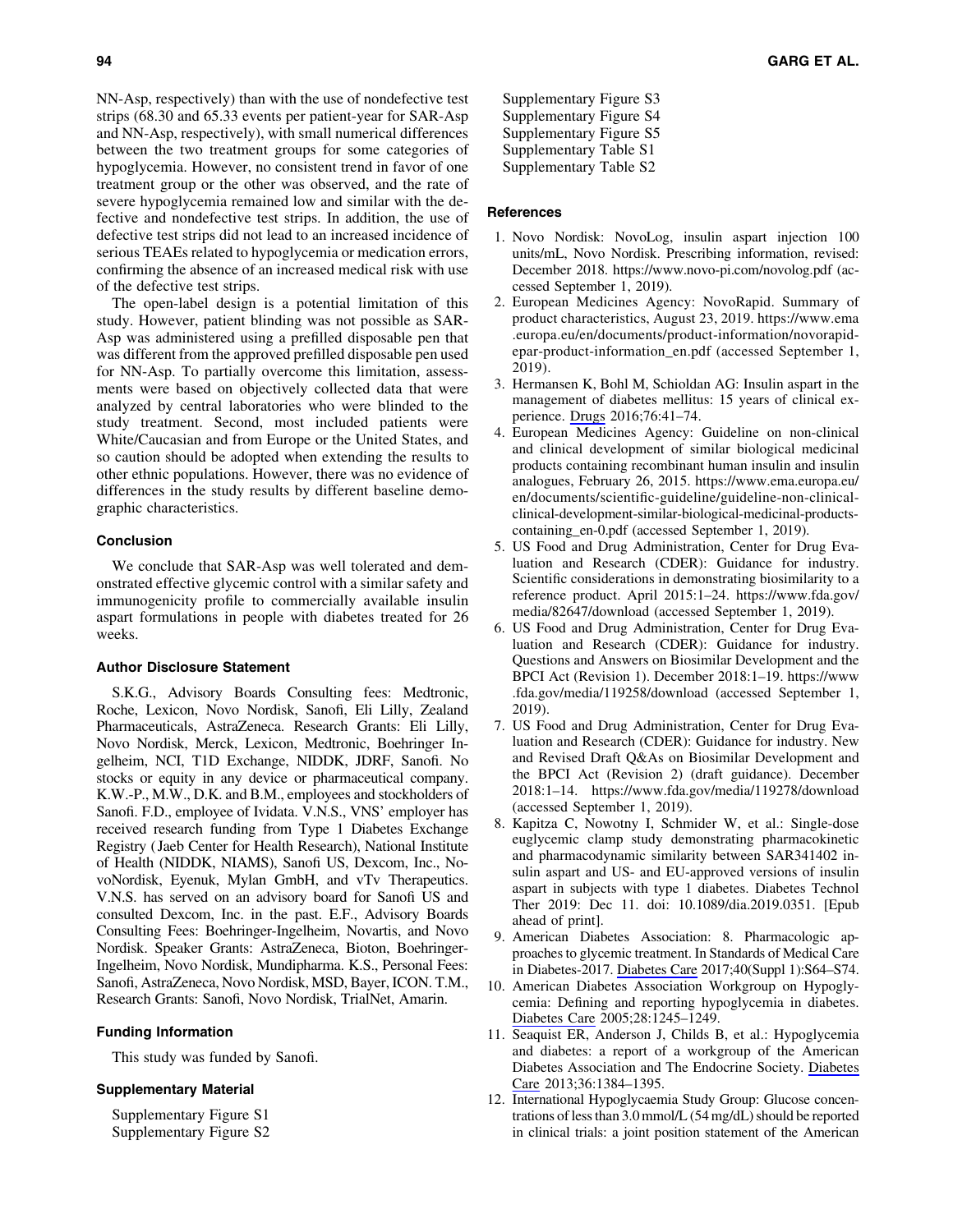NN-Asp, respectively) than with the use of nondefective test strips (68.30 and 65.33 events per patient-year for SAR-Asp and NN-Asp, respectively), with small numerical differences between the two treatment groups for some categories of hypoglycemia. However, no consistent trend in favor of one treatment group or the other was observed, and the rate of severe hypoglycemia remained low and similar with the defective and nondefective test strips. In addition, the use of defective test strips did not lead to an increased incidence of serious TEAEs related to hypoglycemia or medication errors, confirming the absence of an increased medical risk with use of the defective test strips.

The open-label design is a potential limitation of this study. However, patient blinding was not possible as SAR-Asp was administered using a prefilled disposable pen that was different from the approved prefilled disposable pen used for NN-Asp. To partially overcome this limitation, assessments were based on objectively collected data that were analyzed by central laboratories who were blinded to the study treatment. Second, most included patients were White/Caucasian and from Europe or the United States, and so caution should be adopted when extending the results to other ethnic populations. However, there was no evidence of differences in the study results by different baseline demographic characteristics.

## Conclusion

We conclude that SAR-Asp was well tolerated and demonstrated effective glycemic control with a similar safety and immunogenicity profile to commercially available insulin aspart formulations in people with diabetes treated for 26 weeks.

# Author Disclosure Statement

S.K.G., Advisory Boards Consulting fees: Medtronic, Roche, Lexicon, Novo Nordisk, Sanofi, Eli Lilly, Zealand Pharmaceuticals, AstraZeneca. Research Grants: Eli Lilly, Novo Nordisk, Merck, Lexicon, Medtronic, Boehringer Ingelheim, NCI, T1D Exchange, NIDDK, JDRF, Sanofi. No stocks or equity in any device or pharmaceutical company. K.W.-P., M.W., D.K. and B.M., employees and stockholders of Sanofi. F.D., employee of Ividata. V.N.S., VNS' employer has received research funding from Type 1 Diabetes Exchange Registry (Jaeb Center for Health Research), National Institute of Health (NIDDK, NIAMS), Sanofi US, Dexcom, Inc., NovoNordisk, Eyenuk, Mylan GmbH, and vTv Therapeutics. V.N.S. has served on an advisory board for Sanofi US and consulted Dexcom, Inc. in the past. E.F., Advisory Boards Consulting Fees: Boehringer-Ingelheim, Novartis, and Novo Nordisk. Speaker Grants: AstraZeneca, Bioton, Boehringer-Ingelheim, Novo Nordisk, Mundipharma. K.S., Personal Fees: Sanofi, AstraZeneca, Novo Nordisk, MSD, Bayer, ICON. T.M., Research Grants: Sanofi, Novo Nordisk, TrialNet, Amarin.

## Funding Information

This study was funded by Sanofi.

# Supplementary Material

Supplementary Figure S1 Supplementary Figure S2 Supplementary Figure S3 Supplementary Figure S4 Supplementary Figure S5 Supplementary Table S1 Supplementary Table S2

# References

- 1. Novo Nordisk: NovoLog, insulin aspart injection 100 units/mL, Novo Nordisk. Prescribing information, revised: December 2018.<https://www.novo-pi.com/novolog.pdf> (accessed September 1, 2019).
- 2. European Medicines Agency: NovoRapid. Summary of product characteristics, August 23, 2019. [https://www.ema](https://www.ema.europa.eu/en/documents/product-information/novorapid-epar-product-information_en.pdf) [.europa.eu/en/documents/product-information/novorapid](https://www.ema.europa.eu/en/documents/product-information/novorapid-epar-product-information_en.pdf)[epar-product-information\\_en.pdf](https://www.ema.europa.eu/en/documents/product-information/novorapid-epar-product-information_en.pdf) (accessed September 1, 2019).
- 3. Hermansen K, Bohl M, Schioldan AG: Insulin aspart in the management of diabetes mellitus: 15 years of clinical experience. [Drugs](https://www.liebertpub.com/action/showLinks?pmid=26607485&crossref=10.1007%2Fs40265-015-0500-0&citationId=p_18) 2016;76:41–74.
- 4. European Medicines Agency: Guideline on non-clinical and clinical development of similar biological medicinal products containing recombinant human insulin and insulin analogues, February 26, 2015. [https://www.ema.europa.eu/](https://www.ema.europa.eu/en/documents/scientific-guideline/guideline-non-clinical-clinical-development-similar-biological-medicinal-products-containing_en-0.pdf) [en/documents/scientific-guideline/guideline-non-clinical](https://www.ema.europa.eu/en/documents/scientific-guideline/guideline-non-clinical-clinical-development-similar-biological-medicinal-products-containing_en-0.pdf)[clinical-development-similar-biological-medicinal-products](https://www.ema.europa.eu/en/documents/scientific-guideline/guideline-non-clinical-clinical-development-similar-biological-medicinal-products-containing_en-0.pdf)[containing\\_en-0.pdf](https://www.ema.europa.eu/en/documents/scientific-guideline/guideline-non-clinical-clinical-development-similar-biological-medicinal-products-containing_en-0.pdf) (accessed September 1, 2019).
- 5. US Food and Drug Administration, Center for Drug Evaluation and Research (CDER): Guidance for industry. Scientific considerations in demonstrating biosimilarity to a reference product. April 2015:1–24. [https://www.fda.gov/](https://www.fda.gov/media/82647/download) [media/82647/download](https://www.fda.gov/media/82647/download) (accessed September 1, 2019).
- 6. US Food and Drug Administration, Center for Drug Evaluation and Research (CDER): Guidance for industry. Questions and Answers on Biosimilar Development and the BPCI Act (Revision 1). December 2018:1–19. [https://www](https://www.fda.gov/media/119258/download) [.fda.gov/media/119258/download](https://www.fda.gov/media/119258/download) (accessed September 1, 2019).
- 7. US Food and Drug Administration, Center for Drug Evaluation and Research (CDER): Guidance for industry. New and Revised Draft Q&As on Biosimilar Development and the BPCI Act (Revision 2) (draft guidance). December 2018:1–14.<https://www.fda.gov/media/119278/download> (accessed September 1, 2019).
- 8. Kapitza C, Nowotny I, Schmider W, et al.: Single-dose euglycemic clamp study demonstrating pharmacokinetic and pharmacodynamic similarity between SAR341402 insulin aspart and US- and EU-approved versions of insulin aspart in subjects with type 1 diabetes. Diabetes Technol Ther 2019: Dec 11. doi: 10.1089/dia.2019.0351. [Epub ahead of print].
- 9. American Diabetes Association: 8. Pharmacologic approaches to glycemic treatment. In Standards of Medical Care in Diabetes-2017. [Diabetes Care](https://www.liebertpub.com/action/showLinks?crossref=10.2337%2Fdc17-S011&citationId=p_24) 2017;40(Suppl 1):S64–S74.
- 10. American Diabetes Association Workgroup on Hypoglycemia: Defining and reporting hypoglycemia in diabetes. [Diabetes Care](https://www.liebertpub.com/action/showLinks?pmid=15855602&crossref=10.2337%2Fdiacare.28.5.1245&citationId=p_25) 2005;28:1245–1249.
- 11. Seaquist ER, Anderson J, Childs B, et al.: Hypoglycemia and diabetes: a report of a workgroup of the American Diabetes Association and The Endocrine Society. [Diabetes](https://www.liebertpub.com/action/showLinks?pmid=23589542&crossref=10.2337%2Fdc12-2480&citationId=p_26) [Care](https://www.liebertpub.com/action/showLinks?pmid=23589542&crossref=10.2337%2Fdc12-2480&citationId=p_26) 2013;36:1384–1395.
- 12. International Hypoglycaemia Study Group: Glucose concentrations of less than 3.0 mmol/L (54 mg/dL) should be reported in clinical trials: a joint position statement of the American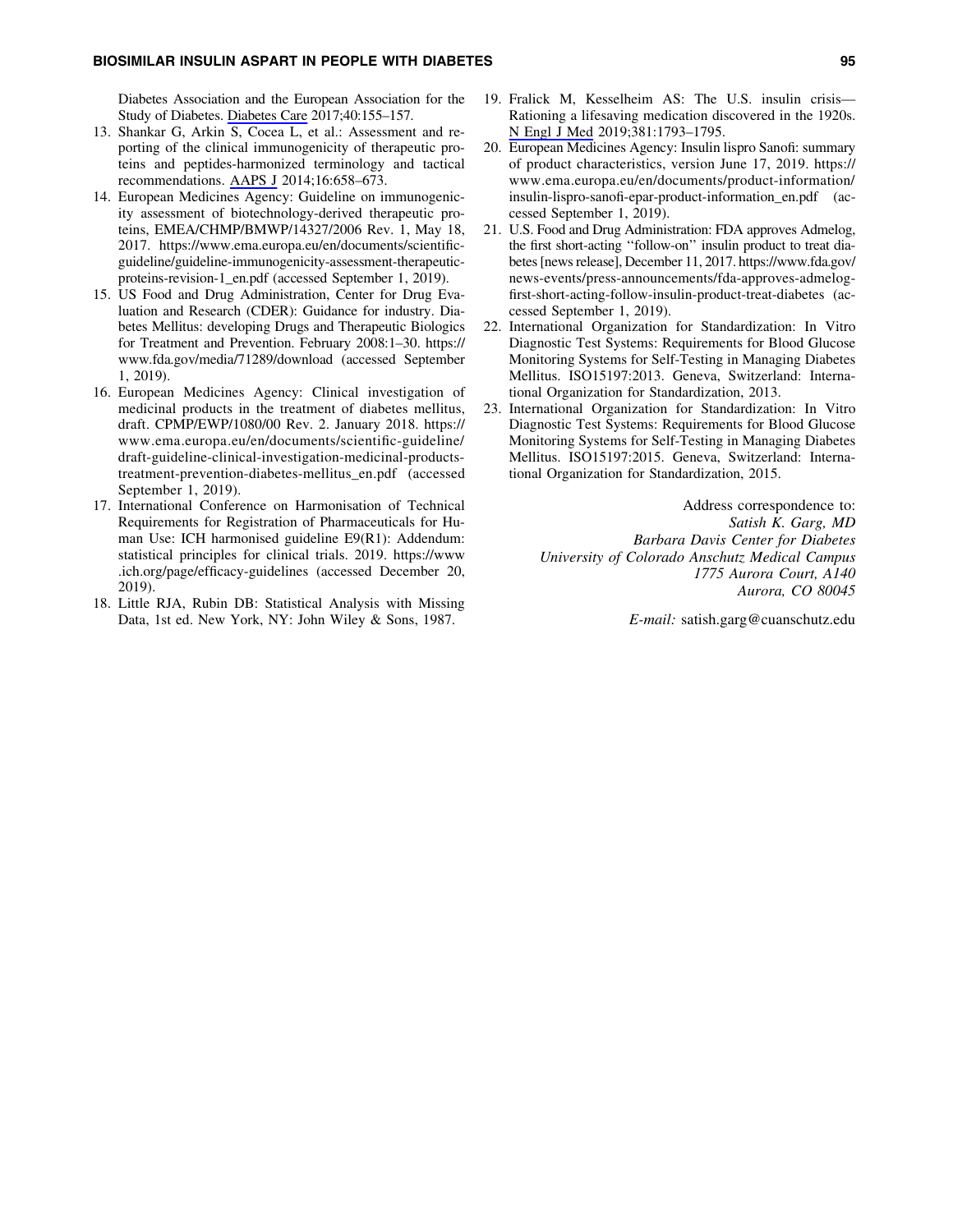Diabetes Association and the European Association for the Study of Diabetes. [Diabetes Care](https://www.liebertpub.com/action/showLinks?pmid=27872155&crossref=10.2337%2Fdc16-2215&citationId=p_27) 2017;40:155–157.

- 13. Shankar G, Arkin S, Cocea L, et al.: Assessment and reporting of the clinical immunogenicity of therapeutic proteins and peptides-harmonized terminology and tactical recommendations. [AAPS J](https://www.liebertpub.com/action/showLinks?pmid=24764037&crossref=10.1208%2Fs12248-014-9599-2&citationId=p_28) 2014;16:658–673.
- 14. European Medicines Agency: Guideline on immunogenicity assessment of biotechnology-derived therapeutic proteins, EMEA/CHMP/BMWP/14327/2006 Rev. 1, May 18, 2017. [https://www.ema.europa.eu/en/documents/scientific](https://www.ema.europa.eu/en/documents/scientific-guideline/guideline-immunogenicity-assessment-therapeutic-proteins-revision-1_en.pdf)[guideline/guideline-immunogenicity-assessment-therapeutic](https://www.ema.europa.eu/en/documents/scientific-guideline/guideline-immunogenicity-assessment-therapeutic-proteins-revision-1_en.pdf)[proteins-revision-1\\_en.pdf](https://www.ema.europa.eu/en/documents/scientific-guideline/guideline-immunogenicity-assessment-therapeutic-proteins-revision-1_en.pdf) (accessed September 1, 2019).
- 15. US Food and Drug Administration, Center for Drug Evaluation and Research (CDER): Guidance for industry. Diabetes Mellitus: developing Drugs and Therapeutic Biologics for Treatment and Prevention. February 2008:1–30. [https://](https://www.fda.gov/media/71289/download) [www.fda.gov/media/71289/download](https://www.fda.gov/media/71289/download) (accessed September 1, 2019).
- 16. European Medicines Agency: Clinical investigation of medicinal products in the treatment of diabetes mellitus, draft. CPMP/EWP/1080/00 Rev. 2. January 2018. [https://](https://www.ema.europa.eu/en/documents/scientific-guideline/draft-guideline-clinical-investigation-medicinal-products-treatment-prevention-diabetes-mellitus_en.pdf) [www.ema.europa.eu/en/documents/scientific-guideline/](https://www.ema.europa.eu/en/documents/scientific-guideline/draft-guideline-clinical-investigation-medicinal-products-treatment-prevention-diabetes-mellitus_en.pdf) [draft-guideline-clinical-investigation-medicinal-products](https://www.ema.europa.eu/en/documents/scientific-guideline/draft-guideline-clinical-investigation-medicinal-products-treatment-prevention-diabetes-mellitus_en.pdf)[treatment-prevention-diabetes-mellitus\\_en.pdf](https://www.ema.europa.eu/en/documents/scientific-guideline/draft-guideline-clinical-investigation-medicinal-products-treatment-prevention-diabetes-mellitus_en.pdf) (accessed September 1, 2019).
- 17. International Conference on Harmonisation of Technical Requirements for Registration of Pharmaceuticals for Human Use: ICH harmonised guideline E9(R1): Addendum: statistical principles for clinical trials. 2019. [https://www](https://www.ich.org/page/efficacy-guidelines) [.ich.org/page/efficacy-guidelines](https://www.ich.org/page/efficacy-guidelines) (accessed December 20, 2019).
- 18. Little RJA, Rubin DB: Statistical Analysis with Missing Data, 1st ed. New York, NY: John Wiley & Sons, 1987.
- 19. Fralick M, Kesselheim AS: The U.S. insulin crisis— Rationing a lifesaving medication discovered in the 1920s. [N Engl J Med](https://www.liebertpub.com/action/showLinks?pmid=31693804&crossref=10.1056%2FNEJMp1909402&citationId=p_34) 2019;381:1793–1795.
- 20. European Medicines Agency: Insulin lispro Sanofi: summary of product characteristics, version June 17, 2019. [https://](https://www.ema.europa.eu/en/documents/product-information/insulin-lispro-sanofi-epar-product-information_en.pdf) [www.ema.europa.eu/en/documents/product-information/](https://www.ema.europa.eu/en/documents/product-information/insulin-lispro-sanofi-epar-product-information_en.pdf) [insulin-lispro-sanofi-epar-product-information\\_en.pdf](https://www.ema.europa.eu/en/documents/product-information/insulin-lispro-sanofi-epar-product-information_en.pdf) (accessed September 1, 2019).
- 21. U.S. Food and Drug Administration: FDA approves Admelog, the first short-acting ''follow-on'' insulin product to treat diabetes [news release], December 11, 2017. [https://www.fda.gov/](https://www.fda.gov/news-events/press-announcements/fda-approves-admelog-first-short-acting-follow-insulin-product-treat-diabetes) [news-events/press-announcements/fda-approves-admelog](https://www.fda.gov/news-events/press-announcements/fda-approves-admelog-first-short-acting-follow-insulin-product-treat-diabetes)[first-short-acting-follow-insulin-product-treat-diabetes](https://www.fda.gov/news-events/press-announcements/fda-approves-admelog-first-short-acting-follow-insulin-product-treat-diabetes) (accessed September 1, 2019).
- 22. International Organization for Standardization: In Vitro Diagnostic Test Systems: Requirements for Blood Glucose Monitoring Systems for Self-Testing in Managing Diabetes Mellitus. ISO15197:2013. Geneva, Switzerland: International Organization for Standardization, 2013.
- 23. International Organization for Standardization: In Vitro Diagnostic Test Systems: Requirements for Blood Glucose Monitoring Systems for Self-Testing in Managing Diabetes Mellitus. ISO15197:2015. Geneva, Switzerland: International Organization for Standardization, 2015.

Address correspondence to: *Satish K. Garg, MD Barbara Davis Center for Diabetes University of Colorado Anschutz Medical Campus 1775 Aurora Court, A140 Aurora, CO 80045*

*E-mail:* satish.garg@cuanschutz.edu